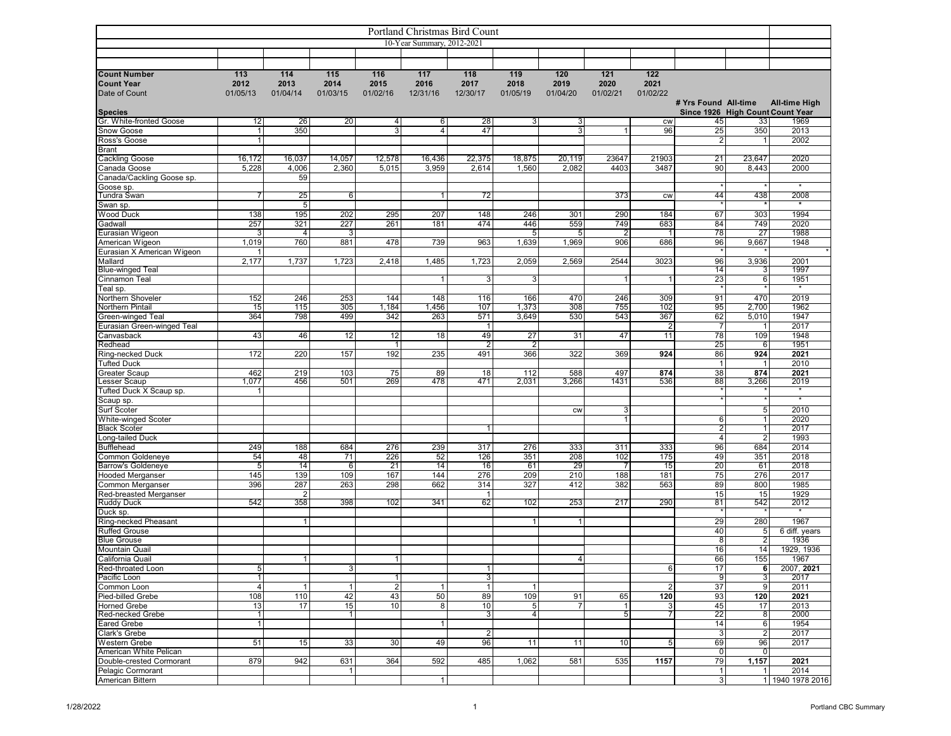| Portland Christmas Bird Count                             |                         |                         |                         |                         |                         |                         |                                   |                         |                         |                                      |                                        |                      |                          |
|-----------------------------------------------------------|-------------------------|-------------------------|-------------------------|-------------------------|-------------------------|-------------------------|-----------------------------------|-------------------------|-------------------------|--------------------------------------|----------------------------------------|----------------------|--------------------------|
| 10-Year Summary, 2012-2021                                |                         |                         |                         |                         |                         |                         |                                   |                         |                         |                                      |                                        |                      |                          |
|                                                           |                         |                         |                         |                         |                         |                         |                                   |                         |                         |                                      |                                        |                      |                          |
|                                                           |                         |                         |                         |                         |                         |                         |                                   |                         |                         |                                      |                                        |                      |                          |
| <b>Count Number</b><br><b>Count Year</b><br>Date of Count | 113<br>2012<br>01/05/13 | 114<br>2013<br>01/04/14 | 115<br>2014<br>01/03/15 | 116<br>2015<br>01/02/16 | 117<br>2016<br>12/31/16 | 118<br>2017<br>12/30/17 | 119<br>2018<br>01/05/19           | 120<br>2019<br>01/04/20 | 121<br>2020<br>01/02/21 | $\overline{122}$<br>2021<br>01/02/22 |                                        |                      |                          |
|                                                           |                         |                         |                         |                         |                         |                         |                                   |                         |                         |                                      | # Yrs Found All-time                   |                      | <b>All-time High</b>     |
| <b>Species</b><br>Gr. White-fronted Goose                 | 12                      | 26                      | 20                      | $\overline{4}$          | 6                       | 28                      | 3                                 | 3                       |                         | <b>CW</b>                            | Since 1926 High Count Count Year<br>45 | 33                   | 1969                     |
| Snow Goose                                                | $\overline{1}$          | 350                     |                         | $\overline{3}$          | 4 <sup>1</sup>          | 47                      |                                   | 3                       |                         | 96                                   | 25                                     | 350                  | 2013                     |
| Ross's Goose                                              | $\mathbf{1}$            |                         |                         |                         |                         |                         |                                   |                         |                         |                                      | 2                                      | $\mathbf{1}$         | 2002                     |
| <b>Brant</b>                                              |                         |                         |                         |                         |                         |                         |                                   |                         |                         |                                      |                                        |                      |                          |
| Cackling Goose                                            | 16,172                  | 16,037                  | 14,057                  | 12,578                  | 16,436                  | 22,375                  | 18,875                            | 20,119                  | 23647                   | 21903                                | 21                                     | 23,647               | 2020                     |
| Canada Goose                                              | 5,228                   | 4,006                   | 2,360                   | 5,015                   | 3,959                   | 2,614                   | 1,560                             | 2,082                   | 4403                    | 3487                                 | 90                                     | 8,443                | 2000                     |
| Canada/Cackling Goose sp.                                 |                         | 59                      |                         |                         |                         |                         |                                   |                         |                         |                                      |                                        |                      | $\overline{\phantom{a}}$ |
| Goose sp.<br>Tundra Swan                                  | 7                       | 25                      | 6                       |                         | 11                      | 72                      |                                   |                         | 373                     | <b>CW</b>                            | 44                                     | 438                  | 2008                     |
| Swan sp.                                                  |                         | $5\phantom{.0}$         |                         |                         |                         |                         |                                   |                         |                         |                                      |                                        |                      | $\star$                  |
| Wood Duck                                                 | 138                     | 195                     | 202                     | 295                     | 207                     | 148                     | 246                               | 301                     | 290                     | 184                                  | 67                                     | 303                  | 1994                     |
| Gadwall                                                   | 257                     | 321                     | 227                     | 261                     | 181                     | 474                     | 446                               | 559                     | 749                     | 683                                  | 84                                     | 749                  | 2020                     |
| Eurasian Wigeon                                           | 3                       | $\overline{4}$          | 3                       |                         |                         |                         | 5                                 | 5                       |                         |                                      | 78                                     | 27                   | 1988                     |
| American Wigeon                                           | 1,019                   | 760                     | 881                     | 478                     | 739                     | 963                     | 1,639                             | 1,969                   | 906                     | 686                                  | 96                                     | 9,667                | 1948                     |
| Eurasian X American Wigeon                                |                         |                         |                         |                         |                         |                         |                                   |                         |                         |                                      |                                        |                      |                          |
| Mallard<br><b>Blue-winged Teal</b>                        | 2,177                   | 1,737                   | 1,723                   | 2,418                   | 1,485                   | 1,723                   | 2,059                             | 2,569                   | 2544                    | 3023                                 | 96<br>14                               | 3,936<br>3           | 2001<br>1997             |
| Cinnamon Teal                                             |                         |                         |                         |                         | $\mathbf{1}$            | 3                       | 3                                 |                         |                         |                                      | 23                                     | 6                    | 1951                     |
| Teal sp.                                                  |                         |                         |                         |                         |                         |                         |                                   |                         |                         |                                      |                                        |                      |                          |
| Northern Shoveler                                         | 152                     | 246                     | 253                     | 144                     | 148                     | 116                     | 166                               | 470                     | 246                     | 309                                  | 91                                     | 470                  | 2019                     |
| Northern Pintail                                          | 15                      | 115                     | 305                     | 1,184                   | 1,456                   | 107                     | 1,373                             | 308                     | 755                     | 102                                  | 95                                     | 2,700                | 1962                     |
| Green-winged Teal                                         | 364                     | 798                     | 499                     | 342                     | 263                     | 571                     | 3,649                             | 530                     | 543                     | 367                                  | 62                                     | 5,010                | 1947                     |
| Eurasian Green-winged Teal                                |                         |                         |                         |                         |                         | $\mathbf{1}$            |                                   |                         | 47                      | $\overline{2}$                       | $\overline{7}$                         | 1                    | 2017<br>1948             |
| Canvasback<br>Redhead                                     | 43                      | 46                      | 12                      | 12<br>1                 | 18                      | 49<br>$\overline{2}$    | 27<br>$\overline{2}$              | 31                      |                         | 11                                   | 78<br>25                               | 109<br>6             | 1951                     |
| Ring-necked Duck                                          | 172                     | 220                     | 157                     | 192                     | 235                     | 491                     | 366                               | 322                     | 369                     | 924                                  | 86                                     | 924                  | 2021                     |
| <b>Tufted Duck</b>                                        |                         |                         |                         |                         |                         |                         |                                   |                         |                         |                                      | $\mathbf{1}$                           | 1                    | 2010                     |
| <b>Greater Scaup</b>                                      | 462                     | 219                     | 103                     | 75                      | 89                      | 18                      | 112                               | 588                     | 497                     | 874                                  | 38                                     | 874                  | 2021                     |
| Lesser Scaup                                              | 1,077                   | 456                     | 501                     | 269                     | 478                     | 471                     | 2,031                             | 3,266                   | 1431                    | 536                                  | 88                                     | 3,266                | 2019                     |
| Tufted Duck X Scaup sp.                                   | $\overline{1}$          |                         |                         |                         |                         |                         |                                   |                         |                         |                                      |                                        |                      | $\star$                  |
| Scaup sp.<br>Surf Scoter                                  |                         |                         |                         |                         |                         |                         |                                   | CW                      | 3                       |                                      |                                        | 5                    | 2010                     |
| White-winged Scoter                                       |                         |                         |                         |                         |                         |                         |                                   |                         |                         |                                      | 6                                      | $\mathbf{1}$         | 2020                     |
| <b>Black Scoter</b>                                       |                         |                         |                         |                         |                         |                         |                                   |                         |                         |                                      | $\overline{2}$                         | 1                    | 2017                     |
| Long-tailed Duck                                          |                         |                         |                         |                         |                         |                         |                                   |                         |                         |                                      | 4                                      | $\overline{2}$       | 1993                     |
| <b>Bufflehead</b>                                         | 249                     | 188                     | 684                     | 276                     | 239                     | 317                     | 276                               | 333                     | 311                     | 333                                  | 96                                     | 684                  | 2014                     |
| Common Goldeneye                                          | 54                      | 48                      | 71                      | 226                     | 52                      | 126                     | 351                               | 208                     | 102                     | 175                                  | 49                                     | 351                  | 2018                     |
| Barrow's Goldeneye<br><b>Hooded Merganser</b>             | $\overline{5}$<br>145   | 14<br>139               | 6<br>109                | $\overline{21}$<br>167  | 14<br>144               | 16<br>276               | 61<br>209                         | 29<br>210               | 188                     | 15<br>181                            | 20<br>75                               | 61<br>276            | 2018<br>2017             |
| Common Merganser                                          | 396                     | 287                     | 263                     | 298                     | 662                     | 314                     | 327                               | 412                     | 382                     | 563                                  | 89                                     | 800                  | 1985                     |
| Red-breasted Merganser                                    |                         | $\overline{2}$          |                         |                         |                         | $\mathbf{1}$            |                                   |                         |                         |                                      | 15                                     | 15                   | 1929                     |
| <b>Ruddy Duck</b>                                         | 542                     | 358                     | 398                     | 102                     | 341                     | 62                      | 102                               | 253                     | 217                     | 290                                  | 81                                     | 542                  | 2012                     |
| Duck sp.                                                  |                         |                         |                         |                         |                         |                         |                                   |                         |                         |                                      |                                        |                      |                          |
| Ring-necked Pheasant                                      |                         | $\mathbf{1}$            |                         |                         |                         |                         | $\mathbf{1}$                      |                         |                         |                                      | 29                                     | 280                  | 1967                     |
| <b>Ruffed Grouse</b><br><b>Blue Grouse</b>                |                         |                         |                         |                         |                         |                         |                                   |                         |                         |                                      | 40<br>8                                | $5\phantom{.0}$<br>2 | 6 diff. years<br>1936    |
| <b>Mountain Quail</b>                                     |                         |                         |                         |                         |                         |                         |                                   |                         |                         |                                      | 16                                     | 14                   | 1929, 1936               |
| California Quail                                          |                         | 1 <sup>1</sup>          |                         | 1                       |                         |                         |                                   | 4                       |                         |                                      | 66                                     | 155                  | 1967                     |
| Red-throated Loon                                         | 5 <sub>l</sub>          |                         | $\overline{3}$          |                         |                         | 1                       |                                   |                         |                         | $6 \overline{6}$                     | 17                                     | 6                    | 2007, 2021               |
| Pacific Loon                                              | $\vert$ 1               |                         |                         | 11                      |                         | $\overline{3}$          |                                   |                         |                         |                                      | 9                                      | 3                    | 2017                     |
| Common Loon                                               | $\overline{4}$          | 1                       | 1                       | $\overline{2}$          | $\mathbf{1}$            | $\mathbf{1}$            | $\mathbf{1}$                      |                         |                         | $\overline{c}$                       | 37                                     | 9                    | 2011                     |
| Pied-billed Grebe                                         | 108                     | 110                     | 42                      | 43                      | 50                      | 89                      | 109                               | 91                      | 65                      | 120                                  | 93                                     | 120                  | 2021                     |
| <b>Horned Grebe</b><br>Red-necked Grebe                   | 13<br>$\overline{1}$    | 17                      | 15<br>$\overline{1}$    | 10                      | 8                       | 10<br>$\overline{3}$    | $5\phantom{.0}$<br>$\overline{4}$ | $\overline{7}$          | 5 <sub>l</sub>          | 3<br>$\overline{7}$                  | 45<br>22                               | 17<br>8              | 2013<br>2000             |
| <b>Eared Grebe</b>                                        | $\overline{1}$          |                         |                         |                         | 11                      |                         |                                   |                         |                         |                                      | 14                                     | $6 \overline{6}$     | 1954                     |
| Clark's Grebe                                             |                         |                         |                         |                         |                         | $\overline{2}$          |                                   |                         |                         |                                      | 3                                      | $\overline{c}$       | 2017                     |
| Western Grebe                                             | 51                      | 15                      | 33                      | 30 <sub>1</sub>         | 49                      | 96                      | 11                                | 11                      | 10                      | 5 <sub>5</sub>                       | 69                                     | 96                   | 2017                     |
| American White Pelican                                    |                         |                         |                         |                         |                         |                         |                                   |                         |                         |                                      | $\mathbf 0$                            | 0                    |                          |
| Double-crested Cormorant                                  | 879                     | 942                     | 631                     | 364                     | 592                     | 485                     | 1,062                             | 581                     | 535                     | 1157                                 | 79                                     | 1,157                | 2021                     |
| Pelagic Cormorant<br>American Bittern                     |                         |                         | $\mathbf{1}$            |                         |                         |                         |                                   |                         |                         |                                      | 1<br>3 <sup>1</sup>                    | 1                    | 2014<br>1 1940 1978 2016 |
|                                                           |                         |                         |                         |                         | 1                       |                         |                                   |                         |                         |                                      |                                        |                      |                          |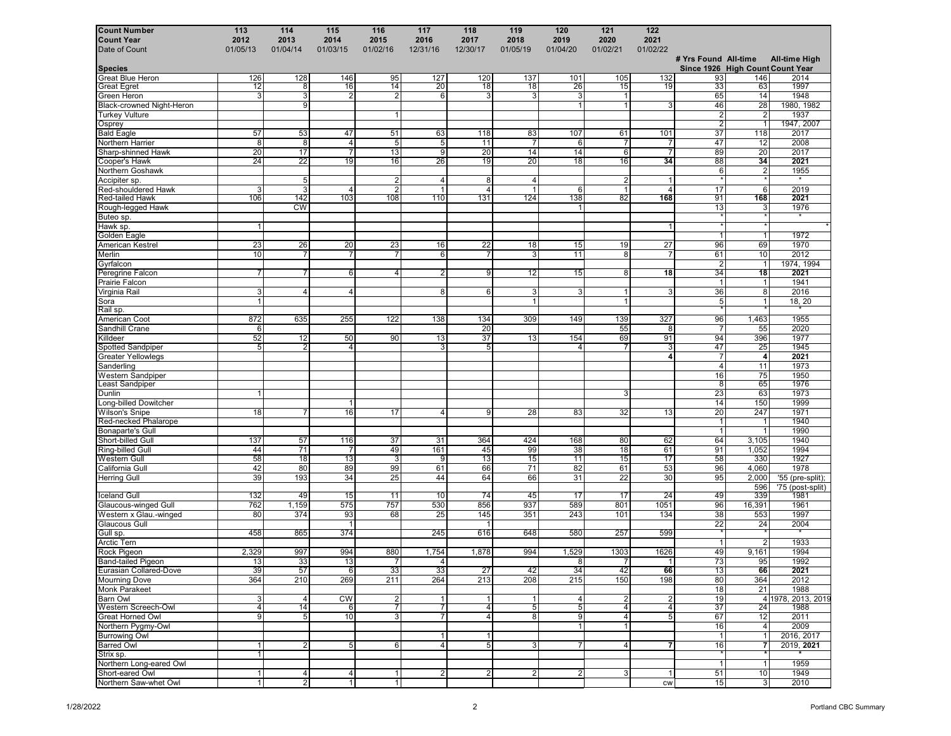| <b>Count Number</b>                     | 113            | 114                   | 115                    | 116            | 117                   | 118            | 119                     | 120            | 121            | 122             |                      |                         |                                          |
|-----------------------------------------|----------------|-----------------------|------------------------|----------------|-----------------------|----------------|-------------------------|----------------|----------------|-----------------|----------------------|-------------------------|------------------------------------------|
| <b>Count Year</b>                       | 2012           | 2013                  | 2014                   | 2015           | 2016                  | 2017           | 2018                    | 2019           | 2020           | 2021            |                      |                         |                                          |
| Date of Count                           | 01/05/13       | 01/04/14              | 01/03/15               | 01/02/16       | 12/31/16              | 12/30/17       | 01/05/19                | 01/04/20       | 01/02/21       | 01/02/22        |                      |                         |                                          |
|                                         |                |                       |                        |                |                       |                |                         |                |                |                 | # Yrs Found All-time |                         | <b>All-time High</b>                     |
| Species<br>Great Blue Heron             | 126            | 128                   | 146                    | 95             | 127                   | 120            | 137                     | 101            | 105            |                 |                      | 146                     | Since 1926 High Count Count Year<br>2014 |
| <b>Great Egret</b>                      | 12             | $\overline{8}$        | 16                     | 14             | 20                    | 18             | 18                      | 26             | 15             | 132<br>19       | 93<br>33             | 63                      | 1997                                     |
| Green Heron                             | 3              | 3                     | $\overline{2}$         | $\overline{2}$ | $6 \mid$              | 3              | 3                       | 3              | $\mathbf{1}$   |                 | 65                   | 14                      | 1948                                     |
| Black-crowned Night-Heron               |                | 9 <sup>1</sup>        |                        |                |                       |                |                         | $\overline{1}$ | $\mathbf 1$    | 3               | 46                   | 28                      | 1980, 1982                               |
| <b>Turkey Vulture</b>                   |                |                       |                        | $\mathbf{1}$   |                       |                |                         |                |                |                 | $\overline{2}$       | $\overline{2}$          | 1937                                     |
| Osprey                                  |                |                       |                        |                |                       |                |                         |                |                |                 | $\overline{2}$       | $\overline{1}$          | 1947, 2007                               |
| <b>Bald Eagle</b>                       | 57             | 53                    | 47                     | 51             | 63                    | 118            | 83                      | 107            | 61             | 101             | 37                   | 118                     | 2017                                     |
| Northern Harrier                        | $\bf 8$        | $\bf 8$               | $\overline{a}$         | $\overline{5}$ | $\overline{5}$        | 11             | $\overline{7}$          | 6              | 7              | 7               | 47                   | 12                      | 2008                                     |
| Sharp-shinned Hawk                      | 20             | 17                    | $\overline{7}$         | 13             | 9                     | 20             | 14                      | 14             | 6              | $\overline{7}$  | 89                   | 20                      | 2017                                     |
| Cooper's Hawk                           | 24             | 22                    | 19                     | 16             | 26                    | 19             | 20                      | 18             | 16             | 34              | 88                   | 34                      | 2021                                     |
| Northern Goshawk                        |                |                       |                        |                |                       |                |                         |                |                |                 | 6                    | $\overline{2}$          | 1955                                     |
| Accipiter sp.                           |                | 5                     |                        | $\overline{2}$ | 4                     | 8              | 4                       |                | 2              |                 |                      |                         | $\star$                                  |
| Red-shouldered Hawk                     | 3              | 3                     | $\overline{4}$         | $\overline{2}$ | $\overline{1}$        | $\overline{4}$ | $\overline{1}$          | 6              | -1             | $\overline{4}$  | 17                   | 6                       | 2019                                     |
| <b>Red-tailed Hawk</b>                  | 106            | 142                   | 103                    | 108            | 110                   | 131            | 124                     | 138            | 82             | 168             | 91                   | 168                     | 2021                                     |
| Rough-legged Hawk                       |                | cw                    |                        |                |                       |                |                         | -1             |                |                 | 13                   | 3                       | 1976                                     |
| Buteo sp.                               |                |                       |                        |                |                       |                |                         |                |                |                 |                      |                         | $^\star$                                 |
| Hawk sp.                                | $\overline{1}$ |                       |                        |                |                       |                |                         |                |                |                 |                      |                         |                                          |
| Golden Eagle                            |                |                       | 20                     |                |                       |                |                         |                |                |                 | $\mathbf{1}$         | $\mathbf{1}$<br>69      | 1972<br>1970                             |
| American Kestrel                        | 23<br>10       | 26<br>$\overline{7}$  |                        | 23             | 16<br>6               | 22<br>7        | 18<br>3                 | 15<br>11       | 19             | $\overline{27}$ | 96                   | 10                      | 2012                                     |
| Merlin<br>Gyrfalcon                     |                |                       | $\overline{7}$         | $\overline{7}$ |                       |                |                         |                | 8              | 7               | 61<br>$\overline{2}$ | $\mathbf{1}$            | 1974, 1994                               |
| Peregrine Falcon                        | 7              |                       | 6                      | 4              | 2                     | 9              | 12                      | 15             | 81             | 18              | 34                   | 18                      | 2021                                     |
| Prairie Falcon                          |                |                       |                        |                |                       |                |                         |                |                |                 | $\overline{1}$       | $\mathbf{1}$            | 1941                                     |
| Virginia Rail                           | 3              | $\boldsymbol{\Delta}$ | $\overline{4}$         |                | 8 <sup>1</sup>        | 6              | 3                       | 3              | 1              | 3               | 36                   | 8                       | 2016                                     |
|                                         | $\mathbf{1}$   |                       |                        |                |                       |                | $\overline{1}$          |                | $\mathbf{1}$   |                 | 5                    | $\mathbf{1}$            | 18, 20                                   |
| Sora<br>Rail sp.                        |                |                       |                        |                |                       |                |                         |                |                |                 |                      |                         |                                          |
| American Coot                           | 872            | 635                   | 255                    | 122            | 138                   | 134            | 309                     | 149            | 139            | 327             | 96                   | 1,463                   | 1955                                     |
| Sandhill Crane                          | 6              |                       |                        |                |                       | 20             |                         |                | 55             | 8               | $\overline{7}$       | 55                      | 2020                                     |
| Killdeer                                | 52             | 12                    | 50                     | 90             | 13                    | 37             | 13                      | 154            | 69             | 91              | 94                   | 396                     | 1977                                     |
| <b>Spotted Sandpiper</b>                | 5              | $\overline{2}$        | $\overline{4}$         |                | 3                     | 5              |                         | $\overline{4}$ |                | 3               | 47                   | 25                      | 1945                                     |
| <b>Greater Yellowlegs</b>               |                |                       |                        |                |                       |                |                         |                |                | 4               | $\overline{7}$       | $\overline{\mathbf{4}}$ | 2021                                     |
| Sanderling                              |                |                       |                        |                |                       |                |                         |                |                |                 | $\overline{4}$       | 11                      | 1973                                     |
| Western Sandpiper                       |                |                       |                        |                |                       |                |                         |                |                |                 | 16                   | 75                      | 1950                                     |
| east Sandpiper.                         |                |                       |                        |                |                       |                |                         |                |                |                 | 8                    | 65                      | 1976                                     |
| Dunlin                                  | -1             |                       |                        |                |                       |                |                         |                | 3              |                 | 23                   | 63                      | 1973                                     |
| ong-billed Dowitcher                    |                |                       | 1                      |                |                       |                |                         |                |                |                 | 14                   | 150                     | 1999                                     |
| Wilson's Snipe                          | 18             | $\overline{7}$        | 16                     | 17             | $\overline{4}$        | 9 <sup>1</sup> | 28                      | 83             | 32             | 13              | 20                   | 247                     | 1971                                     |
| Red-necked Phalarope                    |                |                       |                        |                |                       |                |                         |                |                |                 | -1                   |                         | 1940                                     |
| <b>Bonaparte's Gull</b>                 |                |                       |                        |                |                       |                |                         |                |                |                 | $\overline{1}$       | $\mathbf{1}$            | 1990                                     |
| Short-billed Gull                       | 137            | 57                    | 116                    | 37             | 31                    | 364            | 424                     | 168            | 80             | 62              | 64                   | 3,105                   | 1940                                     |
| Ring-billed Gull<br><b>Western Gull</b> | 44<br>58       | 71<br>18              | 13                     | 49<br>3        | 161<br>$\overline{9}$ | 45<br>13       | 99<br>15                | 38<br>11       | 18<br>15       | 61<br>17        | 91<br>58             | 1,052<br>330            | 1994<br>1927                             |
| California Gull                         | 42             | 80                    | 89                     | 99             | 61                    | 66             | 71                      | 82             | 61             | 53              | 96                   | 4,060                   | 1978                                     |
| <b>Herring Gull</b>                     | 39             | 193                   | 34                     | 25             | 44                    | 64             | 66                      | 31             | 22             | 30              | 95                   | 2,000                   | '55 (pre-split);                         |
|                                         |                |                       |                        |                |                       |                |                         |                |                |                 |                      | 596                     | '75 (post-split)                         |
| <b>Iceland Gull</b>                     | 132            | 49                    | 15                     | 11             | 10                    | 74             | 45                      | 17             | 17             | 24              | 49                   | 339                     | 1981                                     |
| <b>Glaucous-winged Gull</b>             | 762            | 1,159                 | 575                    | 757            | 530                   | 856            | 937                     | 589            | 801            | 1051            | 96                   | 16,391                  | 1961                                     |
| Western x Glau.-winged                  | 80             | 374                   | 93                     | 68             | 25                    | 145            | 351                     | 243            | 101            | 134             | 38                   | 553                     | 1997                                     |
| <b>Glaucous Gull</b>                    |                |                       | $\overline{1}$         |                |                       |                |                         |                |                |                 | 22                   | 24                      | 2004                                     |
| Gull sp.                                | 458            | 865                   | 374                    |                | 245                   | 616            | 648                     | 580            | 257            | 599             |                      |                         |                                          |
| Arctic Tern                             |                |                       |                        |                |                       |                |                         |                |                |                 | $\overline{1}$       | $\overline{2}$          | 1933                                     |
| Rock Pigeon                             | 2,329          | 997                   | 994                    | 880            | 1,754                 | 1,878          | 994                     | 1,529          | 1303           | 1626            | 49                   | 9,161                   | 1994                                     |
| Band-tailed Pigeon                      | 13             | 33                    | 13                     | $\overline{7}$ | $\overline{4}$        |                |                         | 8              | 7              |                 | 73                   | 95                      | 1992                                     |
| Eurasian Collared-Dove                  | 39             | 57                    | 6                      | 33             | 33                    | 27             | 42                      | 34             | 42             | 66              | 13                   | 66                      | 2021                                     |
| <b>Mourning Dove</b>                    | 364            | 210                   | 269                    | 211            | 264                   | 213            | 208                     | 215            | 150            | 198             | 80                   | 364                     | 2012                                     |
| <b>Monk Parakeet</b>                    |                |                       |                        |                |                       |                |                         |                |                |                 | 18                   | 21                      | 1988                                     |
| Barn Owl                                | 3              | 4                     | $\overline{\text{cw}}$ | $\mathbf{2}$   | $\mathbf{1}$          |                | $\mathbf{1}$            | 4              | $\overline{2}$ | $\overline{c}$  | 19                   |                         | 4 1978, 2013, 2019                       |
| Western Screech-Owl                     | $\overline{4}$ | 14                    | 6                      | 7              | $\overline{7}$        | $\vert$        | 5 <sub>l</sub>          | $\overline{5}$ | 4              | 4               | 37                   | 24                      | 1988                                     |
| Great Horned Owl                        | 9              | 5 <sup>1</sup>        | 10                     | $\overline{3}$ | $\overline{7}$        | $\vert$        | 8                       | 9              | 4 <sup>1</sup> | $5\phantom{.0}$ | 67                   | 12                      | 2011                                     |
| Northern Pygmy-Owl                      |                |                       |                        |                |                       |                |                         | $\mathbf{1}$   | 1              |                 | 16                   | $\vert$ 4               | 2009                                     |
| <b>Burrowing Owl</b>                    |                |                       |                        |                | $\mathbf{1}$          | $\mathbf{1}$   |                         |                |                |                 | $\overline{1}$       | $\overline{1}$          | 2016, 2017                               |
| Barred Owl                              | $\mathbf{1}$   | 2 <sub>l</sub>        | 5 <sup>1</sup>         | $6 \mid$       | $\overline{4}$        | 5 <sup>1</sup> | 3 <sup>1</sup>          | 7              | $\overline{4}$ | $\overline{7}$  | 16                   | $\overline{\mathbf{r}}$ | 2019, 2021                               |
| Strix sp.                               | $\mathbf{1}$   |                       |                        |                |                       |                |                         |                |                |                 |                      |                         |                                          |
| Northern Long-eared Owl                 |                |                       |                        |                |                       |                |                         |                |                |                 | $\mathbf{1}$         | $\mathbf{1}$            | 1959                                     |
| Short-eared Owl                         | $\mathbf{1}$   | 4                     | $\overline{4}$         | $\mathbf{1}$   | $\overline{2}$        | $\overline{2}$ | $\overline{\mathbf{c}}$ | 2 <sub>1</sub> | 3 <sup>1</sup> | $\mathbf{1}$    | 51                   | 10                      | 1949                                     |
| Northern Saw-whet Owl                   | $\mathbf{1}$   | 2                     | $\mathbf{1}$           | $\mathbf{1}$   |                       |                |                         |                |                | <b>CW</b>       | 15                   | 3 <sup>1</sup>          | 2010                                     |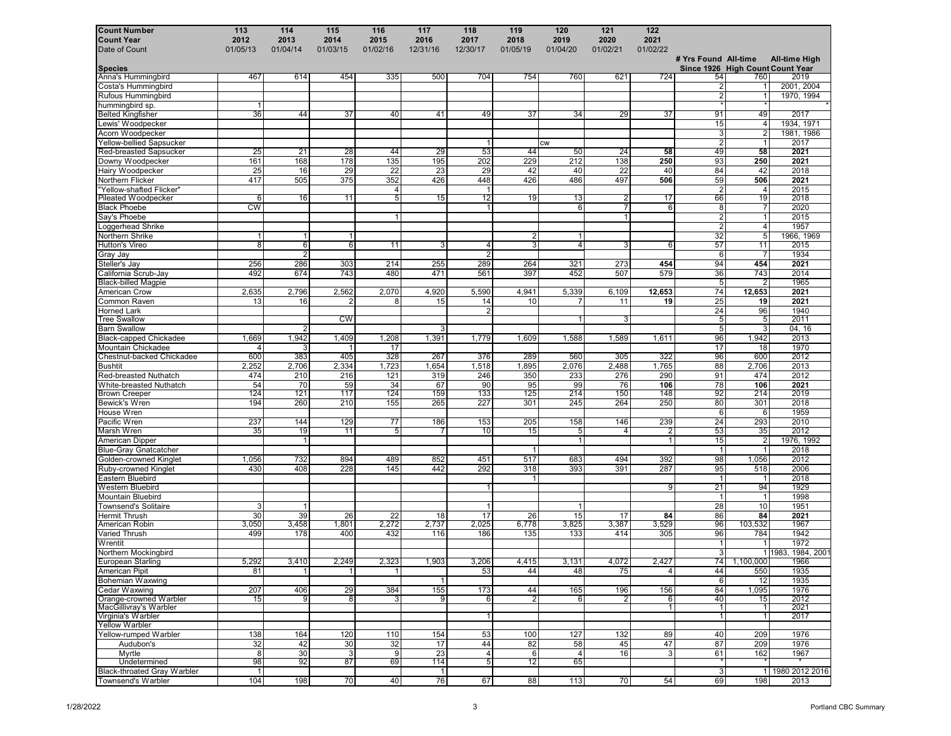| <b>Count Number</b>                         | 113            | 114            | 115               | 116                  | 117          | 118                        | 119                 | 120                  | 121            | 122            |                      |                                   |                                          |
|---------------------------------------------|----------------|----------------|-------------------|----------------------|--------------|----------------------------|---------------------|----------------------|----------------|----------------|----------------------|-----------------------------------|------------------------------------------|
| <b>Count Year</b>                           | 2012           | 2013           | 2014              | 2015                 | 2016         | 2017                       | 2018                | 2019                 | 2020           | 2021           |                      |                                   |                                          |
| Date of Count                               | 01/05/13       | 01/04/14       | 01/03/15          | 01/02/16             | 12/31/16     | 12/30/17                   | 01/05/19            | 01/04/20             | 01/02/21       | 01/02/22       |                      |                                   |                                          |
|                                             |                |                |                   |                      |              |                            |                     |                      |                |                | # Yrs Found All-time |                                   | <b>All-time High</b>                     |
| <b>Species</b><br>Anna's Hummingbird        | 467            | 614            | 454               | 335                  | 500          | 704                        | 754                 | 760                  | 621            | 724            | 54                   | 760                               | Since 1926 High Count Count Year<br>2019 |
| Costa's Hummingbird                         |                |                |                   |                      |              |                            |                     |                      |                |                | $\overline{2}$       | 1                                 | 2001, 2004                               |
| Rufous Hummingbird                          |                |                |                   |                      |              |                            |                     |                      |                |                | $\overline{2}$       |                                   | 1970, 1994                               |
| hummingbird sp.                             | $\mathbf{1}$   |                |                   |                      |              |                            |                     |                      |                |                |                      |                                   |                                          |
| <b>Belted Kingfisher</b>                    | 36             | 44             | 37                | 40                   | 41           | 49                         | 37                  | 34                   | 29             | 37             | 91                   | 49                                | 2017                                     |
| Lewis' Woodpecker                           |                |                |                   |                      |              |                            |                     |                      |                |                | 15                   | $\overline{4}$                    | 1934, 1971                               |
| Acorn Woodpecker                            |                |                |                   |                      |              |                            |                     |                      |                |                | 3                    | $\overline{2}$                    | 1981, 1986                               |
| <b>Yellow-bellied Sapsucker</b>             |                |                |                   |                      |              | $\mathbf{1}$               |                     | <b>CW</b>            |                |                | $\overline{2}$       | $\mathbf{1}$                      | 2017                                     |
| <b>Red-breasted Sapsucker</b>               | 25             | 21             | 28                | 44                   | 29           | 53                         | 44                  | 50                   | 24             | 58             | 49                   | 58                                | 2021                                     |
| Downy Woodpecker                            | 161            | 168            | 178               | 135                  | 195          | 202                        | 229                 | 212                  | 138            | 250            | 93                   | 250                               | 2021                                     |
| Hairy Woodpecker                            | 25             | 16             | 29                | 22                   | 23           | 29                         | 42                  | 40                   | 22             | 40             | 84                   | 42                                | 2018                                     |
| Northern Flicker                            | 417            | 505            | 375               | 352                  | 426          | 448                        | 426                 | 486                  | 497            | 506            | 59                   | 506                               | 2021                                     |
| "Yellow-shafted Flicker"                    |                |                |                   | $\overline{4}$       |              |                            |                     |                      |                |                | $\overline{2}$       | $\overline{4}$                    | 2015                                     |
| <b>Pileated Woodpecker</b>                  | 6              | 16             | 11                | 5                    | 15           | 12                         | 19                  | 13                   |                | 17             | 66                   | 19                                | 2018                                     |
| <b>Black Phoebe</b>                         | <b>CW</b>      |                |                   |                      |              | -1                         |                     | 6                    | 7              | 6              | 8                    | $\overline{7}$                    | 2020                                     |
| Say's Phoebe                                |                |                |                   | $\mathbf{1}$         |              |                            |                     |                      |                |                | $\overline{2}$       | $\mathbf{1}$                      | 2015                                     |
| oggerhead Shrike                            |                |                |                   |                      |              |                            |                     |                      |                |                | $\overline{2}$       | $\overline{4}$                    | 1957                                     |
| Northern Shrike<br><b>Hutton's Vireo</b>    | $\mathbf{1}$   | 1<br>$6 \mid$  | $\mathbf{1}$<br>6 | $\overline{11}$      | 3            | 4                          | 2<br>$\overline{3}$ | $\mathbf{1}$<br>4    | 3              |                | 32<br>57             | $\overline{5}$<br>$\overline{11}$ | 1966, 1969<br>2015                       |
| Gray Jay                                    | 8              | $\overline{2}$ |                   |                      |              | $\overline{2}$             |                     |                      |                | 6              | $6\phantom{1}6$      | $\overline{7}$                    | 1934                                     |
| Steller's Jay                               | 256            | 286            | 303               | 214                  | 255          | 289                        | 264                 | 321                  | 273            | 454            | 94                   | 454                               | 2021                                     |
| California Scrub-Jay                        | 492            | 674            | 743               | 480                  | 471          | 561                        | 397                 | 452                  | 507            | 579            | 36                   | 743                               | 2014                                     |
| <b>Black-billed Magpie</b>                  |                |                |                   |                      |              |                            |                     |                      |                |                | 5                    | $\overline{2}$                    | 1965                                     |
| American Crow                               | 2,635          | 2,796          | 2,562             | 2,070                | 4,920        | 5,590                      | 4,941               | 5,339                | 6,109          | 12,653         | 74                   | 12,653                            | 2021                                     |
| Common Raven                                | 13             | 16             | $\overline{c}$    | 8                    | 15           | 14                         | 10                  | $\overline{7}$       | 11             | 19             | 25                   | 19                                | 2021                                     |
| <b>Horned Lark</b>                          |                |                |                   |                      |              | $\overline{2}$             |                     |                      |                |                | 24                   | 96                                | 1940                                     |
| <b>Tree Swallow</b>                         |                |                | cw                |                      |              |                            |                     | 1                    | 3              |                | 5                    | 5                                 | 2011                                     |
| <b>Barn Swallow</b>                         |                | 2              |                   |                      | 3            |                            |                     |                      |                |                | 5                    | 3                                 | 04, 16                                   |
| <b>Black-capped Chickadee</b>               | 1,669          | 1,942          | 1,409             | 1,208                | 1,391        | 1,779                      | 1,609               | 1,588                | 1,589          | 1,611          | 96                   | 1,942                             | 2013                                     |
| Mountain Chickadee                          | $\overline{4}$ | 3              | -1                | 17                   |              |                            |                     |                      |                |                | 17                   | 18                                | 1970                                     |
| Chestnut-backed Chickadee                   | 600            | 383            | 405               | 328                  | 267          | 376                        | 289                 | 560                  | 305            | 322            | 96                   | 600                               | 2012                                     |
| <b>Bushtit</b>                              | 2,252          | 2,706          | 2,334             | 1,723                | 1,654        | 1,518                      | 1,895               | 2,076                | 2,488          | 1,765          | 88                   | 2,706                             | 2013                                     |
| Red-breasted Nuthatch                       | 474            | 210            | 216               | 121                  | 319          | 246                        | 350                 | 233                  | 276            | 290            | 91                   | 474                               | 2012                                     |
| White-breasted Nuthatch                     | 54             | 70             | 59                | 34                   | 67           | 90                         | 95                  | 99                   | 76             | 106            | 78                   | 106                               | 2021                                     |
| <b>Brown Creeper</b>                        | 124            | 121            | 117               | 124                  | 159          | 133                        | 125                 | 214                  | 150            | 148            | 92                   | 214                               | 2019                                     |
| Bewick's Wren                               | 194            | 260            | 210               | 155                  | 265          | 227                        | 301                 | 245                  | 264            | 250            | 80                   | 301                               | 2018                                     |
| House Wren                                  |                |                |                   |                      |              |                            |                     |                      |                |                | 6                    | 6                                 | 1959                                     |
| Pacific Wren                                | 237            | 144            | 129               | 77                   | 186          | 153                        | 205                 | 158                  | 146            | 239            | 24                   | 293                               | 2010                                     |
| Marsh Wren                                  | 35             | 19             | 11                | 5                    | 7            | 10                         | 15                  | 5                    | 4              | $\overline{2}$ | 53                   | 35                                | 2012                                     |
| American Dipper                             |                | $\mathbf{1}$   |                   |                      |              |                            |                     | $\mathbf{1}$         |                | $\mathbf{1}$   | 15                   | $\overline{2}$                    | 1976, 1992                               |
| <b>Blue-Gray Gnatcatcher</b>                |                |                |                   |                      |              |                            | $\mathbf{1}$        |                      |                |                | $\overline{1}$       |                                   | 2018                                     |
| Golden-crowned Kinglet                      | 1,056          | 732            | 894               | 489                  | 852          | 451                        | 517                 | 683                  | 494            | 392            | 98                   | 1,056                             | 2012                                     |
| Ruby-crowned Kinglet                        | 430            | 408            | 228               | 145                  | 442          | 292                        | 318<br>$\mathbf{1}$ | 393                  | 391            | 287            | 95<br>$\overline{1}$ | 518                               | 2006                                     |
| Eastern Bluebird<br><b>Western Bluebird</b> |                |                |                   |                      |              |                            |                     |                      |                | 9              | 21                   | 94                                | 2018<br>1929                             |
| <b>Mountain Bluebird</b>                    |                |                |                   |                      |              |                            |                     |                      |                |                | $\overline{1}$       | $\mathbf{1}$                      | 1998                                     |
| <b>Townsend's Solitaire</b>                 | 3              | $\mathbf{1}$   |                   |                      |              |                            |                     | $\mathbf{1}$         |                |                | 28                   | 10                                | 1951                                     |
| <b>Hermit Thrush</b>                        | 30             | 39             | 26                | 22                   | 18           | 17                         | 26                  | 15                   | 17             | 84             | 86                   | 84                                | 2021                                     |
| American Robin                              | 3,050          | 3,458          | 1,801             | 2,272                | 2,737        | 2,025                      | 6,778               | 3,825                | 3,387          | 3,529          | 96                   | 103,532                           | 1967                                     |
| Varied Thrush                               | 499            | 178            | 400               | 432                  | 116          | 186                        | 135                 | 133                  | 414            | 305            | 96                   | 784                               | 1942                                     |
| Wrentit                                     |                |                |                   |                      |              |                            |                     |                      |                |                | $\overline{1}$       |                                   | 1972                                     |
| Northern Mockingbird                        |                |                |                   |                      |              |                            |                     |                      |                |                | 3                    |                                   | 11983, 1984, 2001                        |
| European Starling                           | 5,292          | 3,410          | 2,249             | 2,323                | 1,903        | 3,206                      | 4,415               | 3,131                | 4,072          | 2,427          | 74                   | 1,100,000                         | 1966                                     |
| American Pipit                              | 81             | 1              | 1                 | $\vert$              |              | 53                         | 44                  | 48                   | 75             | $\overline{4}$ | 44                   | 550                               | 1935                                     |
| <b>Bohemian Waxwing</b>                     |                |                |                   |                      | 1            |                            |                     |                      |                |                | 6                    | 12                                | 1935                                     |
| <b>Cedar Waxwing</b>                        | 207            | 406            | 29                | 384                  | 155          | 173                        | 44                  | 165                  | 196            | 156            | 84                   | 1,095                             | 1976                                     |
| Orange-crowned Warbler                      | 15             | 9 <sup>1</sup> | 8                 | 3 <sup>1</sup>       | 9            | $6 \mid$                   | 2                   | 6                    | $\overline{2}$ | 6              | 40                   | 15                                | 2012                                     |
| MacGillivray's Warbler                      |                |                |                   |                      |              |                            |                     |                      |                | $\mathbf{1}$   | -1                   | 1                                 | 2021                                     |
| Virginia's Warbler                          |                |                |                   |                      |              |                            |                     |                      |                |                | $\overline{1}$       | $\overline{1}$                    | 2017                                     |
| <b>Yellow Warbler</b>                       |                |                |                   |                      |              |                            |                     |                      |                |                |                      |                                   |                                          |
| Yellow-rumped Warbler                       | 138            | 164            | 120               | 110                  | 154          | 53                         | 100                 | 127                  | 132            | 89             | 40                   | 209                               | 1976                                     |
| Audubon's                                   | 32             | 42             | 30                | 32                   | 17           | 44                         | 82                  | 58                   | 45             | 47             | 87                   | 209                               | 1976                                     |
| Myrtle<br>Undetermined                      | 8<br>98        | 30<br>92       | 3<br>87           | $\overline{9}$<br>69 | 23<br>114    | $\overline{4}$<br>$5 \mid$ | 6<br>12             | $\overline{4}$<br>65 | 16             | 3              | 61                   | 162                               | 1967                                     |
| <b>Black-throated Gray Warbler</b>          | $\mathbf{1}$   |                |                   |                      | $\mathbf{1}$ |                            |                     |                      |                |                | 3                    |                                   | 1 1980 2012 2016                         |
| Townsend's Warbler                          | 104            | 198            | 70                | 40                   | 76           | 67                         | 88                  | 113                  | 70             | 54             | 69                   | 198                               | 2013                                     |
|                                             |                |                |                   |                      |              |                            |                     |                      |                |                |                      |                                   |                                          |